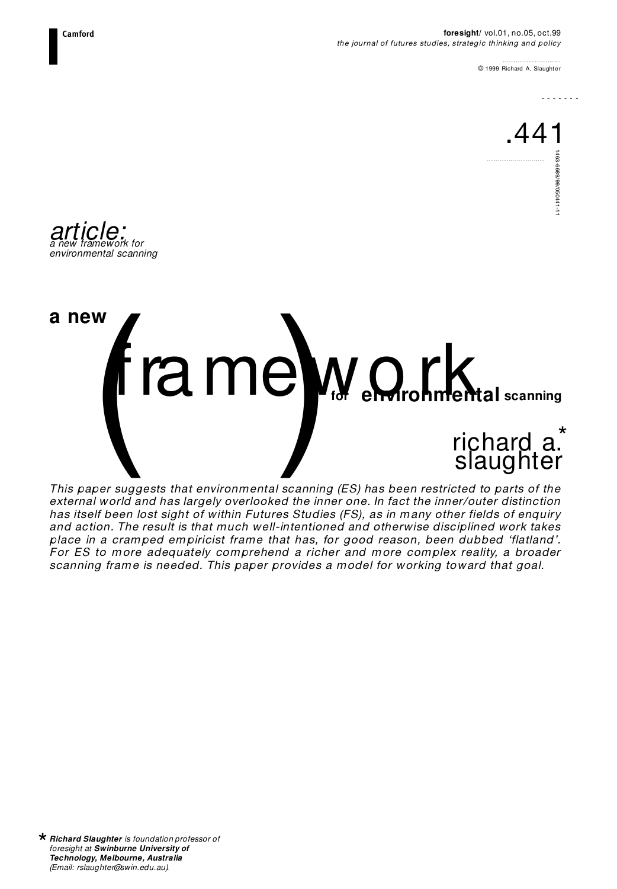................................. © 1999 Richard A. Slaughter

- - - - - - -



# We Controlled the State of State of State of State of State of State of State of State of State of State of State of State of State of State of State of State of State of State of State of State of State of State of State richard a\*<br>slaughter f ra mew sensible that scanning **a new**

*This paper suggests that environmental scanning (ES) has been restricted to parts of the external world and has largely overlooked the inner one. In fact the inner/outer distinction has itself been lost sight of within Futures Studies (FS), as in m any other fields of enquiry and action. The result is that much well-intentioned and otherwise disciplined work takes place in a cram ped em piricist frame that has, for good reason, been dubbed `flatland'. For ES to m ore adequately comprehend a richer and m ore complex reality, a broader scanning fram e is needed. This paper provides a model for working toward that goal.*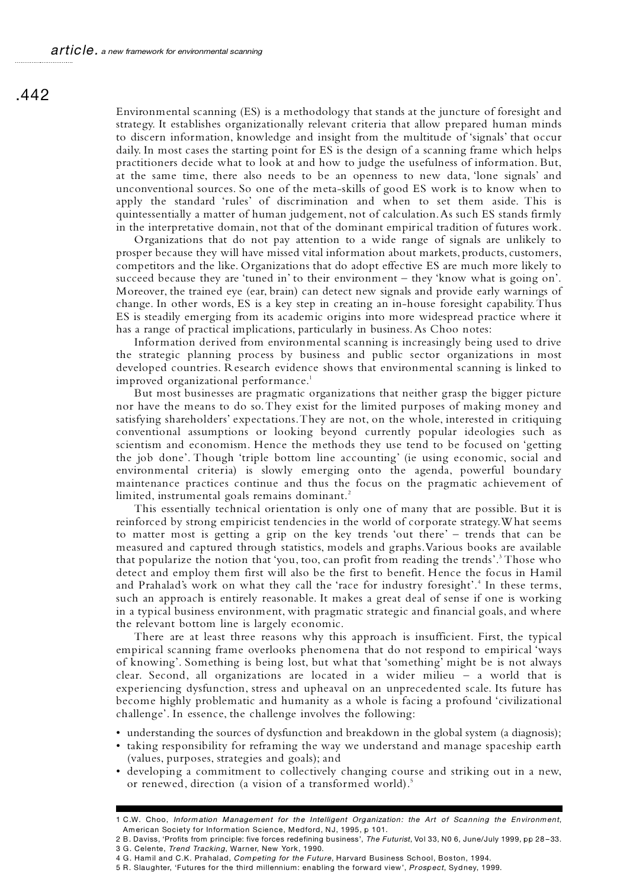Environmental scanning (ES) is a methodology that stands at the juncture of foresight and strategy. It establishes organizationally relevant criteria that allow prepared human minds to discern information, knowledge and insight from the multitude of `signals' that occur daily. In most cases the starting point for ES is the design of a scanning frame which helps practitioners decide what to look at and how to judge the usefulness of information. But, at the same time, there also needs to be an openness to new data, 'lone signals' and unconventional sources. So one of the meta-skills of good ES work is to know when to apply the standard 'rules' of discrimination and when to set them aside. This is quintessentially a matter of human judgement, not of calculation.As such ES stands firmly in the interpretative domain, not that of the dominant empirical tradition of futures work.

Organizations that do not pay attention to a wide range of signals are unlikely to prosper because they will have missed vital information about markets, products, customers, competitors and the like. Organizations that do adopt effective ES are much more likely to succeed because they are 'tuned in' to their environment  $-$  they 'know what is going on'. Moreover, the trained eye (ear, brain) can detect new signals and provide early warnings of change. In other words, ES is a key step in creating an in-house foresight capability.Thus ES is steadily emerging from its academic origins into more widespread practice where it has a range of practical implications, particularly in business.As Choo notes:

Information derived from environmental scanning is increasingly being used to drive the strategic planning process by business and public sector organizations in most developed countries. Research evidence shows that environmental scanning is linked to improved organizational performance. 1

But most businesses are pragmatic organizations that neither grasp the bigger picture nor have the means to do so.They exist for the limited purposes of making money and satisfying shareholders' expectations.They are not, on the whole, interested in critiquing conventional assumptions or looking beyond currently popular ideologies such as scientism and economism. Hence the methods they use tend to be focused on `getting the job done'. Though 'triple bottom line accounting' (ie using economic, social and environmental criteria) is slowly emerging onto the agenda, powerful boundary maintenance practices continue and thus the focus on the pragmatic achievement of limited, instrumental goals remains dominant. 2

This essentially technical orientation is only one of many that are possible. But it is reinforced by strong empiricist tendencies in the world of corporate strategy.What seems to matter most is getting a grip on the key trends 'out there' - trends that can be measured and captured through statistics, models and graphs.Various books are available that popularize the notion that `you, too, can profit from reading the trends'. <sup>3</sup> Those who detect and employ them first will also be the first to benefit. Hence the focus in Hamil and Prahalad's work on what they call the `race for industry foresight'. <sup>4</sup> In these terms, such an approach is entirely reasonable. It makes a great deal of sense if one is working in a typical business environment, with pragmatic strategic and financial goals,and where the relevant bottom line is largely economic.

There are at least three reasons why this approach is insufficient. First, the typical empirical scanning frame overlooks phenomena that do not respond to empirical `ways of knowing'. Something is being lost, but what that `something' might be is not always clear. Second, all organizations are located in a wider milieu  $-$  a world that is experiencing dysfunction, stress and upheaval on an unprecedented scale. Its future has become highly problematic and humanity as a whole is facing a profound `civilizational challenge'. In essence, the challenge involves the following:

- · understanding the sources of dysfunction and breakdown in the global system (a diagnosis);
- · taking responsibility for reframing the way we understand and manage spaceship earth (values, purposes, strategies and goals); and
- · developing a commitment to collectively changing course and striking out in a new, or renewed, direction (a vision of a transformed world). 5

<sup>1</sup> C.W. Choo, *Information Management for the Intelligent Organization: the Art of Scanning the Environment*, Am erican Society for Inform ation Science, Medford, NJ, 1995, p 101.

<sup>2</sup> B. Daviss, 'Profits from principle: five forces redefining business', *The Futurist*, Vol 33, N0 6, June/July 1999, pp 28-33. 3 G. Celente, *Trend Tracking*, Warner, New York, 1990.

<sup>4</sup> G. Ham il and C.K. Prahalad, *Com peting for the Future*, Harvard Business School, Bos ton, 1994.

<sup>5</sup> R. Slaughter, `Futures for the third millennium: enabling the forward view', *Pr ospect*, Sydney, 1999.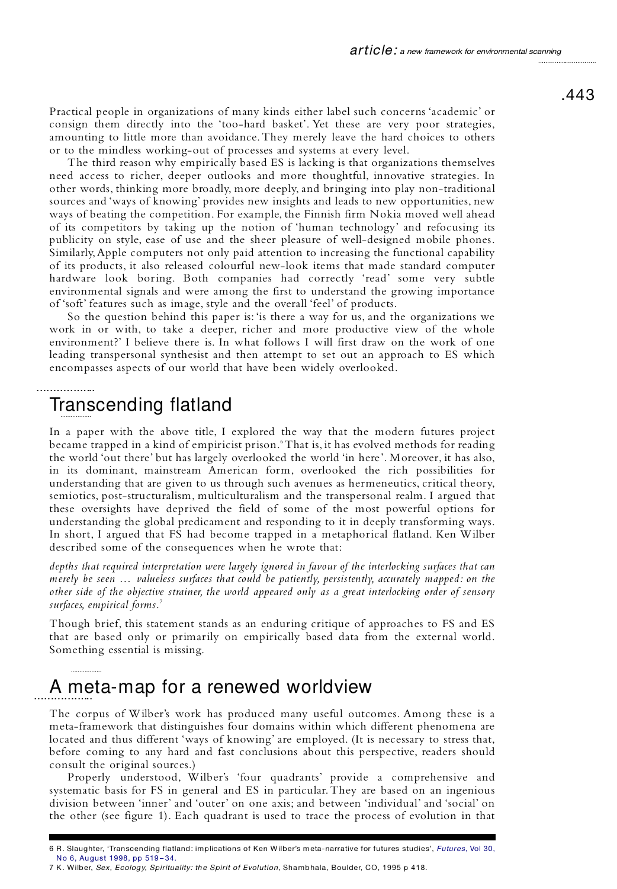Practical people in organizations of many kinds either label such concerns `academic' or consign them directly into the `too-hard basket'. Yet these are very poor strategies, amounting to little more than avoidance.They merely leave the hard choices to others or to the mindless working-out of processes and systems at every level.

The third reason why empirically based ES is lacking is that organizations themselves need access to richer, deeper outlooks and more thoughtful, innovative strategies. In other words, thinking more broadly, more deeply, and bringing into play non-traditional sources and `ways of knowing' provides new insights and leads to new opportunities, new ways of beating the competition. For example, the Finnish firm Nokia moved well ahead of its competitors by taking up the notion of `human technology' and refocusing its publicity on style, ease of use and the sheer pleasure of well-designed mobile phones. Similarly,Apple computers not only paid attention to increasing the functional capability of its products, it also released colourful new-look items that made standard computer hardware look boring. Both companies had correctly 'read' some very subtle environmental signals and were among the first to understand the growing importance of `soft' features such as image, style and the overall `feel' of products.

So the question behind this paper is: 'is there a way for us, and the organizations we work in or with, to take a deeper, richer and more productive view of the whole environment?' I believe there is. In what follows I will first draw on the work of one leading transpersonal synthesist and then attempt to set out an approach to ES which encompasses aspects of our world that have been widely overlooked.

## Transcending flatland .................. ..................

..................

In a paper with the above title, I explored the way that the modern futures project became trapped in a kind of empiricist prison. <sup>6</sup>That is, it has evolved methods for reading the world `out there' but has largely overlooked the world `in here'. Moreover, it has also, in its dominant, mainstream American form, overlooked the rich possibilities for understanding that are given to us through such avenues as hermeneutics, critical theory, semiotics, post-structuralism, multiculturalism and the transpersonal realm. I argued that these oversights have deprived the field of some of the most powerful options for understanding the global predicament and responding to it in deeply transforming ways. In short, I argued that FS had become trapped in a metaphorical flatland. Ken Wilber described some of the consequences when he wrote that:

*depths that required interpretation were largely ignored in favour of the interlocking surfaces that can merely be seen ¼ valueless surfaces that could be patiently, persistently, accurately mapped: on the other side of the objective strainer, the world appeared only as a great interlocking order of sensory surfaces, empirical forms*. 7

Though brief, this statement stands as an enduring critique of approaches to FS and ES that are based only or primarily on empirically based data from the external world. Something essential is missing.

# A meta-map for a renewed worldview

The corpus of Wilber's work has produced many useful outcomes. Among these is a meta-framework that distinguishes four domains within which different phenomena are located and thus different 'ways of knowing' are employed. (It is necessary to stress that, before coming to any hard and fast conclusions about this perspective, readers should consult the original sources.)

Properly understood, Wilber's `four quadrants' provide a comprehensive and systematic basis for FS in general and ES in particular.They are based on an ingenious division between `inner' and `outer' on one axis; and between `individual' and `social' on the other (see figure 1). Each quadrant is used to trace the process of evolution in that

<sup>6</sup> R. Slaughter, `Transcending flatland: implications of Ken W ilber's m eta-narrative for futures studies', *Futures*[, Vol 30,](http://fernando.emeraldinsight.com/nw=1/rpsv/cgi-bin/linker?ext=a&reqidx=/0016-3287^28199808^2930:6L.519[aid=36842]) [No 6, August 1998, pp](http://fernando.emeraldinsight.com/nw=1/rpsv/cgi-bin/linker?ext=a&reqidx=/0016-3287^28199808^2930:6L.519[aid=36842]) 519-34.

<sup>7</sup> K. Wilber, *Sex, Ecology, Spirituality: the Spirit of Evolution*, Shambhala, Boulder, CO, 1995 p 418.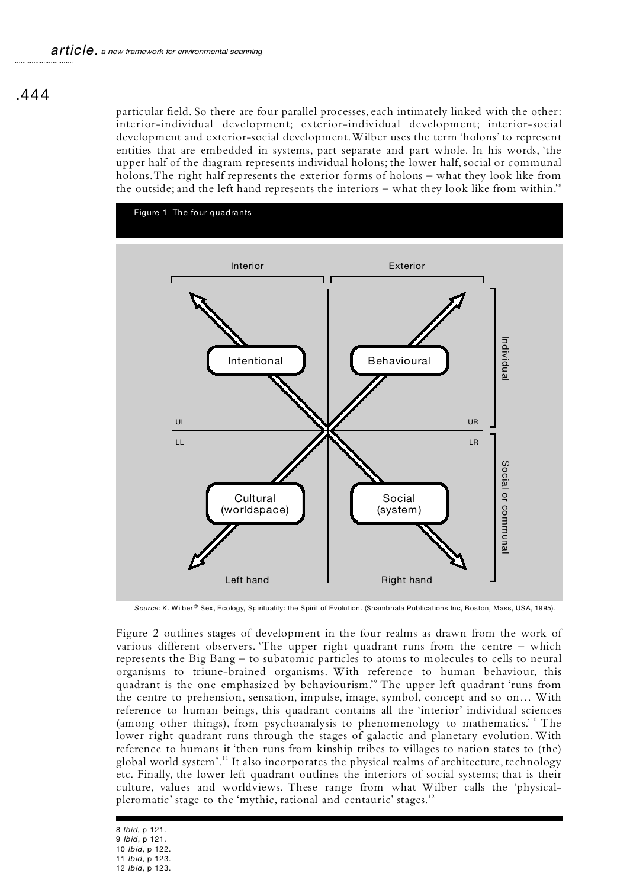## .444

................................

particular field. So there are four parallel processes, each intimately linked with the other: interior-individual development; exterior-individual development; interior-social development and exterior-social development.Wilber uses the term `holons' to represent entities that are embedded in systems, part separate and part whole. In his words, `the upper half of the diagram represents individual holons; the lower half, social or communal holons. The right half represents the exterior forms of holons - what they look like from the outside; and the left hand represents the interiors  $-\text{ what they look like from within.}$ <sup>26</sup>



*Source:* K. Wilber © Sex, Ecology, Spirituality: the Spirit of Evolution. (Shambhala Publications Inc, Boston, Mass, USA, 1995).

Figure 2 outlines stages of development in the four realms as drawn from the work of various different observers. The upper right quadrant runs from the centre  $-\text{ which}$ represents the Big Bang – to subatomic particles to atoms to molecules to cells to neural organisms to triune-brained organisms. With reference to human behaviour, this quadrant is the one emphasized by behaviourism." The upper left quadrant 'runs from the centre to prehension, sensation, impulse, image, symbol, concept and so on... With reference to human beings, this quadrant contains all the 'interior' individual sciences (among other things), from psychoanalysis to phenomenology to mathematics.<sup>'10</sup> The lower right quadrant runs through the stages of galactic and planetary evolution. With reference to humans it 'then runs from kinship tribes to villages to nation states to (the) global world system'. <sup>11</sup> It also incorporates the physical realms of architecture, technology etc. Finally, the lower left quadrant outlines the interiors of social systems; that is their culture, values and worldviews. These range from what Wilber calls the `physical pleromatic' stage to the 'mythic, rational and centauric' stages. $^{\rm 12}$ 

*Ibid*, p 121. *Ibid*, p 121. *Ibid*, p 122. *Ibid*, p 123. *Ibid*, p 123.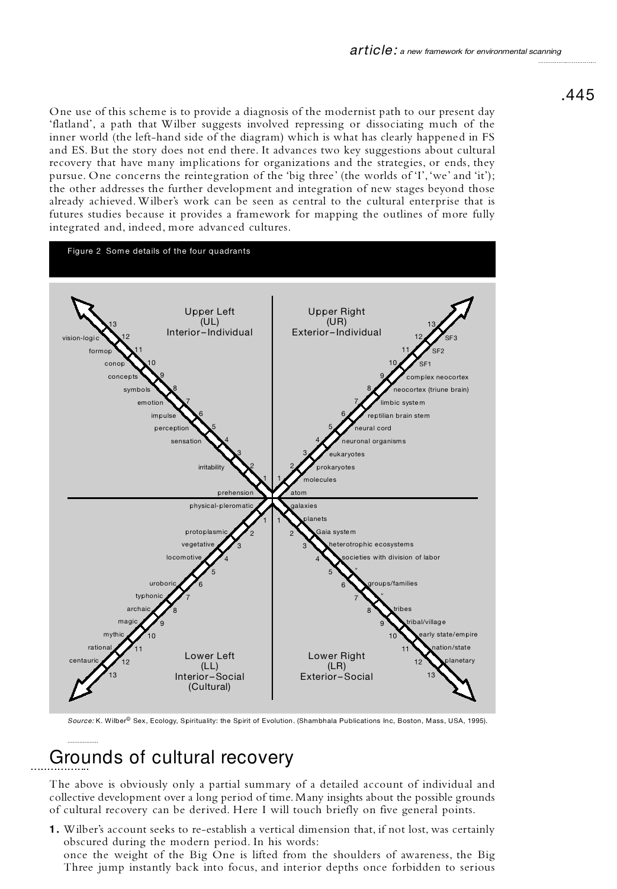One use of this scheme is to provide a diagnosis of the modernist path to our present day `flatland', a path that Wilber suggests involved repressing or dissociating much of the inner world (the left-hand side of the diagram) which is what has clearly happened in FS and ES. But the story does not end there. It advances two key suggestions about cultural recovery that have many implications for organizations and the strategies, or ends, they pursue. One concerns the reintegration of the 'big three' (the worlds of 'I', 'we' and 'it'); the other addresses the further development and integration of new stages beyond those already achieved.Wilber's work can be seen as central to the cultural enterprise that is futures studies because it provides a framework for mapping the outlines of more fully integrated and, indeed, more advanced cultures.



*Source:* K. Wilber© Sex, Ecology, Spirituality: the Spirit of Evolution. (Shambhala Publications Inc, Boston, Mass, USA, 1995).

# Grounds of cultural recovery

..................

The above is obviously only a partial summary of a detailed account of individual and collective development over a long period of time. Many insights about the possible grounds of cultural recovery can be derived. Here I will touch briefly on five general points.

**1.** Wilber's account seeks to re-establish a vertical dimension that, if not lost, was certainly obscured during the modern period. In his words:

once the weight of the Big One is lifted from the shoulders of awareness, the Big Three jump instantly back into focus, and interior depths once forbidden to serious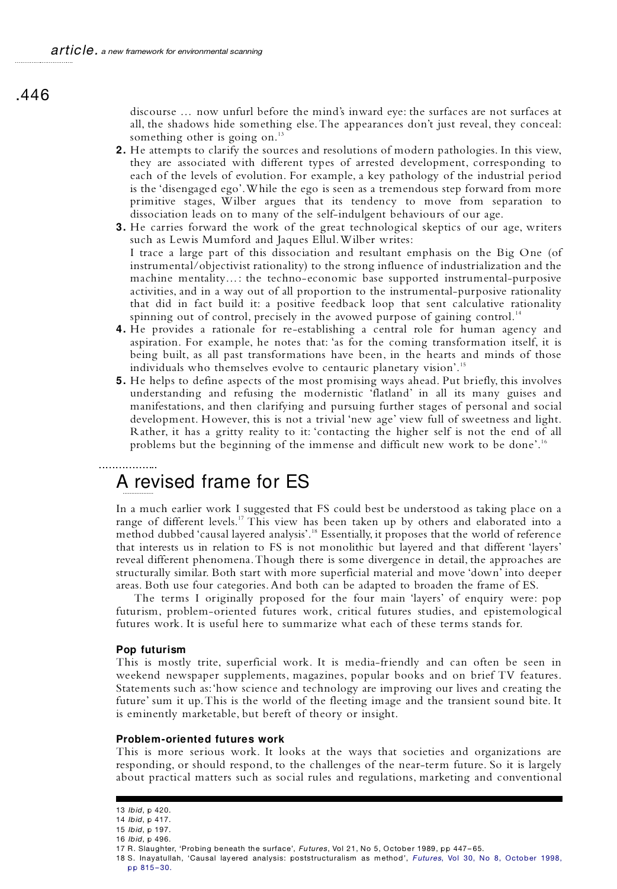discourse ... now unfurl before the mind's inward eye: the surfaces are not surfaces at all, the shadows hide something else.The appearances don't just reveal, they conceal: something other is going on.<sup>13</sup>

- **2.** He attempts to clarify the sources and resolutions of modern pathologies. In this view, they are associated with different types of arrested development, corresponding to each of the levels of evolution. For example, a key pathology of the industrial period is the `disengaged ego'.While the ego is seen as a tremendous step forward from more primitive stages, Wilber argues that its tendency to move from separation to dissociation leads on to many of the self-indulgent behaviours of our age.
- **3.** He carries forward the work of the great technological skeptics of our age, writers such as Lewis Mumford and Jaques Ellul.Wilber writes: I trace a large part of this dissociation and resultant emphasis on the Big One (of instrumental/objectivist rationality) to the strong influence of industrialization and the machine mentality...: the techno-economic base supported instrumental-purposive activities, and in a way out of all proportion to the instrumental-purposive rationality that did in fact build it: a positive feedback loop that sent calculative rationality spinning out of control, precisely in the avowed purpose of gaining control. 14
- **4.** He provides a rationale for re-establishing a central role for human agency and aspiration. For example, he notes that: `as for the coming transformation itself, it is being built, as all past transformations have been, in the hearts and minds of those individuals who themselves evolve to centauric planetary vision'. 15
- **5.** He helps to define aspects of the most promising ways ahead. Put briefly, this involves understanding and refusing the modernistic `flatland' in all its many guises and manifestations, and then clarifying and pursuing further stages of personal and social development. However, this is not a trivial `new age' view full of sweetness and light. Rather, it has a gritty reality to it: 'contacting the higher self is not the end of all problems but the beginning of the immense and difficult new work to be done'. 16

## A revised frame for ES .................. ..................

In a much earlier work I suggested that FS could best be understood as taking place on a range of different levels. <sup>17</sup> This view has been taken up by others and elaborated into a method dubbed `causal layered analysis'. <sup>18</sup> Essentially, it proposes that the world of reference that interests us in relation to FS is not monolithic but layered and that different `layers' reveal different phenomena.Though there is some divergence in detail, the approaches are structurally similar. Both start with more superficial material and move 'down' into deeper areas. Both use four categories.And both can be adapted to broaden the frame of ES.

The terms I originally proposed for the four main 'layers' of enquiry were: pop futurism, problem-oriented futures work, critical futures studies, and epistemological futures work. It is useful here to summarize what each of these terms stands for.

#### **Pop futurism**

This is mostly trite, superficial work. It is media-friendly and can often be seen in weekend newspaper supplements, magazines, popular books and on brief TV features. Statements such as:`how science and technology are improving our lives and creating the future' sum it up.This is the world of the fleeting image and the transient sound bite. It is eminently marketable, but bereft of theory or insight.

### **Problem-oriented futures work**

This is more serious work. It looks at the ways that societies and organizations are responding, or should respond, to the challenges of the near-term future. So it is largely about practical matters such as social rules and regulations, marketing and conventional

<sup>13</sup> *Ibid*, p 420.

<sup>14</sup> *Ibid*, p 417.

<sup>15</sup> *Ibid*, p 197.

<sup>16</sup> *Ibid*, p 496.

<sup>17</sup> R. Slaughter, 'Probing beneath the surface', *Futures*, Vol 21, No 5, October 1989, pp 447-65.

<sup>18</sup> S. Inayatullah, 'Causal layered analysis: poststructuralism as method', *Futures*[, Vol 30, No 8, October 1998,](http://fernando.emeraldinsight.com/nw=1/rpsv/cgi-bin/linker?ext=a&reqidx=/0016-3287^28199810^2930:8L.815[aid=36844]) [pp 815](http://fernando.emeraldinsight.com/nw=1/rpsv/cgi-bin/linker?ext=a&reqidx=/0016-3287^28199810^2930:8L.815[aid=36844])-30.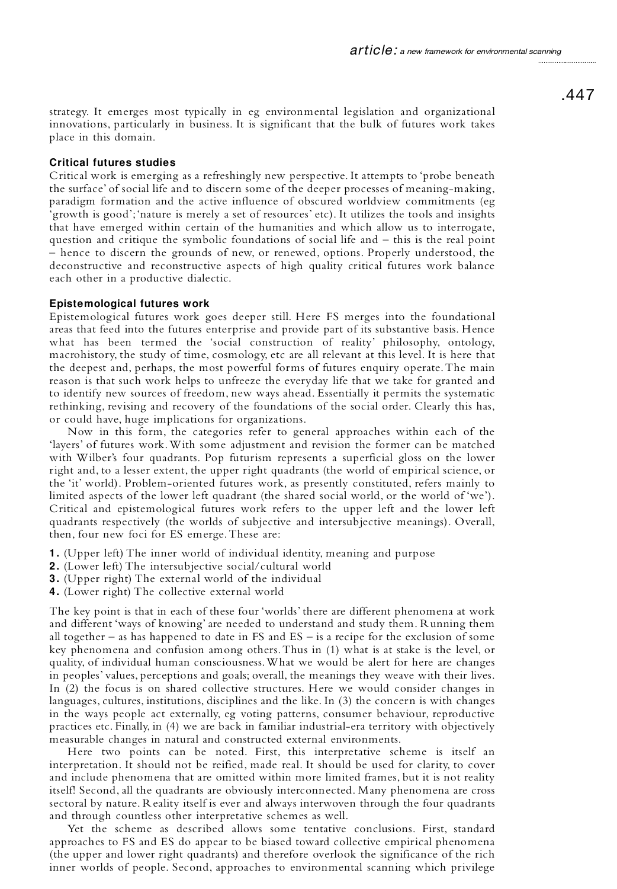strategy. It emerges most typically in eg environmental legislation and organizational innovations, particularly in business. It is significant that the bulk of futures work takes place in this domain.

#### **Critical futures studies**

Critical work is emerging as a refreshingly new perspective. It attempts to `probe beneath the surface' of social life and to discern some of the deeper processes of meaning-making, paradigm formation and the active influence of obscured worldview commitments (eg `growth is good';`nature is merely a set of resources' etc). It utilizes the tools and insights that have emerged within certain of the humanities and which allow us to interrogate, question and critique the symbolic foundations of social life and  $-$  this is the real point  $-$  hence to discern the grounds of new, or renewed, options. Properly understood, the deconstructive and reconstructive aspects of high quality critical futures work balance each other in a productive dialectic.

## **Epistemological futures work**

Epistemological futures work goes deeper still. Here FS merges into the foundational areas that feed into the futures enterprise and provide part of its substantive basis. Hence what has been termed the `social construction of reality' philosophy, ontology, macrohistory, the study of time, cosmology, etc are all relevant at this level. It is here that the deepest and, perhaps, the most powerful forms of futures enquiry operate.The main reason is that such work helps to unfreeze the everyday life that we take for granted and to identify new sources of freedom, new ways ahead. Essentially it permits the systematic rethinking, revising and recovery of the foundations of the social order. Clearly this has, or could have, huge implications for organizations.

Now in this form, the categories refer to general approaches within each of the `layers' of futures work.With some adjustment and revision the former can be matched with Wilber's four quadrants. Pop futurism represents a superficial gloss on the lower right and, to a lesser extent, the upper right quadrants (the world of empirical science, or the `it' world). Problem-oriented futures work, as presently constituted, refers mainly to limited aspects of the lower left quadrant (the shared social world, or the world of `we'). Critical and epistemological futures work refers to the upper left and the lower left quadrants respectively (the worlds of subjective and intersubjective meanings). Overall, then, four new foci for ES emerge.These are:

- **1.** (Upper left) The inner world of individual identity, meaning and purpose
- **2.** (Lower left) The intersubjective social/cultural world
- **3.** (Upper right) The external world of the individual
- **4.** (Lower right) The collective external world

The key point is that in each of these four 'worlds' there are different phenomena at work and different 'ways of knowing' are needed to understand and study them. Running them all together  $-\alpha$  as has happened to date in FS and ES  $-\alpha$  is a recipe for the exclusion of some key phenomena and confusion among others.Thus in (1) what is at stake is the level, or quality, of individual human consciousness.What we would be alert for here are changes in peoples' values, perceptions and goals; overall, the meanings they weave with their lives. In (2) the focus is on shared collective structures. Here we would consider changes in languages, cultures, institutions, disciplines and the like. In (3) the concern is with changes in the ways people act externally, eg voting patterns, consumer behaviour, reproductive practices etc. Finally, in (4) we are back in familiar industrial-era territory with objectively measurable changes in natural and constructed external environments.

Here two points can be noted. First, this interpretative scheme is itself an interpretation. It should not be reified, made real. It should be used for clarity, to cover and include phenomena that are omitted within more limited frames, but it is not reality itself! Second, all the quadrants are obviously interconnected. Many phenomena are cross sectoral by nature. Reality itself is ever and always interwoven through the four quadrants and through countless other interpretative schemes as well.

Yet the scheme as described allows some tentative conclusions. First, standard approaches to FS and ES do appear to be biased toward collective empirical phenomena (the upper and lower right quadrants) and therefore overlook the significance of the rich inner worlds of people. Second, approaches to environmental scanning which privilege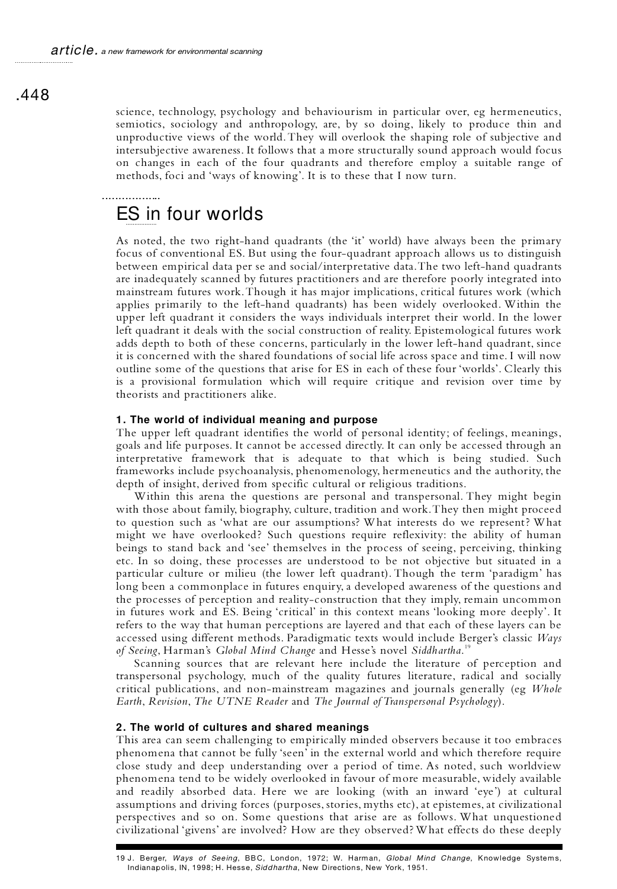## .448

................................

science, technology, psychology and behaviourism in particular over, eg hermeneutics, semiotics, sociology and anthropology, are, by so doing, likely to produce thin and unproductive views of the world.They will overlook the shaping role of subjective and intersubjective awareness. It follows that a more structurally sound approach would focus on changes in each of the four quadrants and therefore employ a suitable range of methods, foci and `ways of knowing'. It is to these that I now turn.

## ..................

### ES in four worlds ..................

As noted, the two right-hand quadrants (the `it' world) have always been the primary focus of conventional ES. But using the four-quadrant approach allows us to distinguish between empirical data per se and social/interpretative data.The two left-hand quadrants are inadequately scanned by futures practitioners and are therefore poorly integrated into mainstream futures work.Though it has major implications, critical futures work (which applies primarily to the left-hand quadrants) has been widely overlooked. Within the upper left quadrant it considers the ways individuals interpret their world. In the lower left quadrant it deals with the social construction of reality. Epistemological futures work adds depth to both of these concerns, particularly in the lower left-hand quadrant, since it is concerned with the shared foundations of social life across space and time. I will now outline some of the questions that arise for ES in each of these four `worlds'. Clearly this is a provisional formulation which will require critique and revision over time by theorists and practitioners alike.

## **1. The world of individual meaning and purpose**

The upper left quadrant identifies the world of personal identity; of feelings, meanings, goals and life purposes. It cannot be accessed directly. It can only be accessed through an interpretative framework that is adequate to that which is being studied. Such frameworks include psychoanalysis, phenomenology, hermeneutics and the authority, the depth of insight, derived from specific cultural or religious traditions.

Within this arena the questions are personal and transpersonal. They might begin with those about family, biography, culture, tradition and work.They then might proceed to question such as `what are our assumptions? What interests do we represent? What might we have overlooked? Such questions require reflexivity: the ability of human beings to stand back and `see' themselves in the process of seeing, perceiving, thinking etc. In so doing, these processes are understood to be not objective but situated in a particular culture or milieu (the lower left quadrant). Though the term 'paradigm' has long been a commonplace in futures enquiry, a developed awareness of the questions and the processes of perception and reality-construction that they imply, remain uncommon in futures work and ES. Being 'critical' in this context means 'looking more deeply'. It refers to the way that human perceptions are layered and that each of these layers can be accessed using different methods. Paradigmatic texts would include Berger's classic *Ways of Seeing*, Harman's *Global Mind Change* and Hesse's novel *Siddhartha*. 19

Scanning sources that are relevant here include the literature of perception and transpersonal psychology, much of the quality futures literature, radical and socially critical publications, and non-mainstream magazines and journals generally (eg *Whole Earth*, *Revision*, *The UTNE Reader* and *The Journal of Transpersonal Psychology*).

## **2. The world of cultures and shared meanings**

This area can seem challenging to empirically minded observers because it too embraces phenomena that cannot be fully 'seen' in the external world and which therefore require close study and deep understanding over a period of time. As noted, such worldview phenomena tend to be widely overlooked in favour of more measurable, widely available and readily absorbed data. Here we are looking (with an inward `eye') at cultural assumptions and driving forces (purposes, stories, myths etc), at epistemes, at civilizational perspectives and so on. Some questions that arise are as follows. What unquestioned civilizational `givens' are involved? How are they observed? What effects do these deeply

19 J. Berger, Ways of Seeing, BBC, London, 1972; W. Harman, *Global Mind Change*, Knowledge Systems, Indianapolis, IN, 1998; H. Hesse, *Siddhartha*, New Directions, New York, 1951.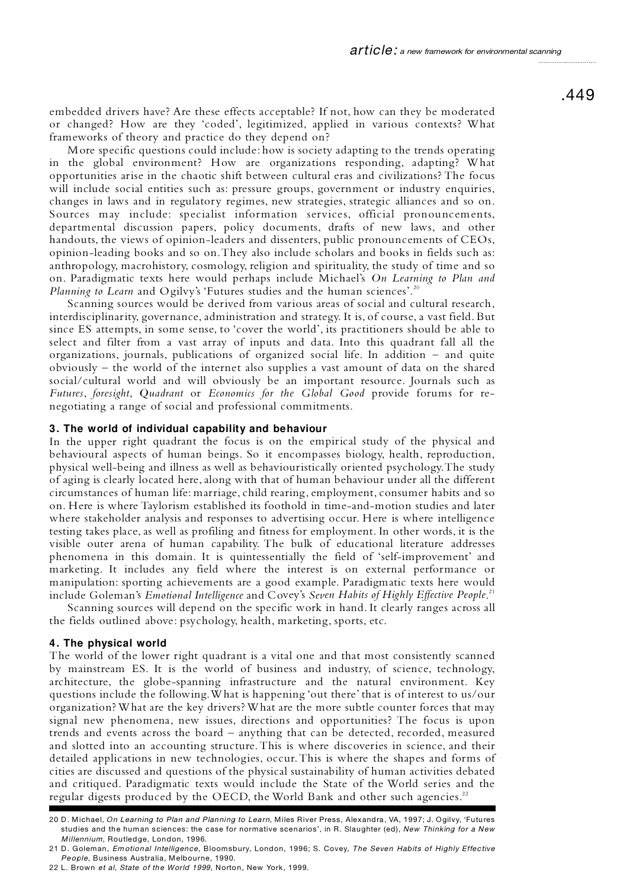................................

embedded drivers have? Are these effects acceptable? If not, how can they be moderated or changed? How are they `coded', legitimized, applied in various contexts? What frameworks of theory and practice do they depend on?

More specific questions could include: how is society adapting to the trends operating in the global environment? How are organizations responding, adapting? What opportunities arise in the chaotic shift between cultural eras and civilizations? The focus will include social entities such as: pressure groups, government or industry enquiries, changes in laws and in regulatory regimes, new strategies, strategic alliances and so on. Sources may include: specialist information services, official pronouncements, departmental discussion papers, policy documents, drafts of new laws, and other handouts, the views of opinion-leaders and dissenters, public pronouncements of CEOs, opinion-leading books and so on.They also include scholars and books in fields such as: anthropology, macrohistory, cosmology, religion and spirituality, the study of time and so on. Paradigmatic texts here would perhaps include Michael's *On Learning to Plan and Planning to Learn* and Ogilvy's `Futures studies and the human sciences'. 20

Scanning sources would be derived from various areas of social and cultural research, interdisciplinarity, governance, administration and strategy. It is, of course, a vast field. But since ES attempts, in some sense, to `cover the world', its practitioners should be able to select and filter from a vast array of inputs and data. Into this quadrant fall all the organizations, journals, publications of organized social life. In addition  $-$  and quite  $obviously - the world of the internet also supplies a vast amount of data on the shared$ social/cultural world and will obviously be an important resource. Journals such as *Futures*, *foresight*, *Quadrant* or *Economics for the Global Good* provide forums for re negotiating a range of social and professional commitments.

## **3. The world of individual capability and behaviour**

In the upper right quadrant the focus is on the empirical study of the physical and behavioural aspects of human beings. So it encompasses biology, health, reproduction, physical well-being and illness as well as behaviouristically oriented psychology.The study of aging is clearly located here,along with that of human behaviour under all the different circumstances of human life: marriage, child rearing, employment, consumer habits and so on. Here is where Taylorism established its foothold in time-and-motion studies and later where stakeholder analysis and responses to advertising occur. Here is where intelligence testing takes place, as well as profiling and fitness for employment. In other words, it is the visible outer arena of human capability. The bulk of educational literature addresses phenomena in this domain. It is quintessentially the field of `self-improvement' and marketing. It includes any field where the interest is on external performance or manipulation: sporting achievements are a good example. Paradigmatic texts here would include Goleman's *Emotional Intelligence* and Covey's *Seven Habits of Highly Effective People*. 21

Scanning sources will depend on the specific work in hand. It clearly ranges across all the fields outlined above: psychology, health, marketing, sports, etc.

## **4. The physical world**

The world of the lower right quadrant is a vital one and that most consistently scanned by mainstream ES. It is the world of business and industry, of science, technology, architecture, the globe-spanning infrastructure and the natural environment. Key questions include the following.What is happening `out there' that is of interest to us/our organization? What are the key drivers? What are the more subtle counter forces that may signal new phenomena, new issues, directions and opportunities? The focus is upon trends and events across the board - anything that can be detected, recorded, measured and slotted into an accounting structure.This is where discoveries in science, and their detailed applications in new technologies, occur.This is where the shapes and forms of cities are discussed and questions of the physical sustainability of human activities debated and critiqued. Paradigmatic texts would include the State of the World series and the regular digests produced by the OECD, the World Bank and other such agencies. $^{22}$ 

<sup>20</sup> D. Michael, *On Learning to Plan and Planning to Learn*, Miles River Press, Alexandra, VA, 1997; J. Ogilvy, `Futures studies and the hum an sciences: the case for normative scenarios', in R. Slaughter (ed), *New Thinking for a New Millennium*, Routledge, London, 1996.

<sup>21</sup> D. Goleman, *Em otional Intelligence*, Bloomsbury, London, 1996; S. Covey, *The Seven Habits of Highly Effective Pe ople*, Business Australia, Melbourne, 1990.

<sup>22</sup> L. Brown *et al*, *State of the World 1999*, Norton, New York, 1999.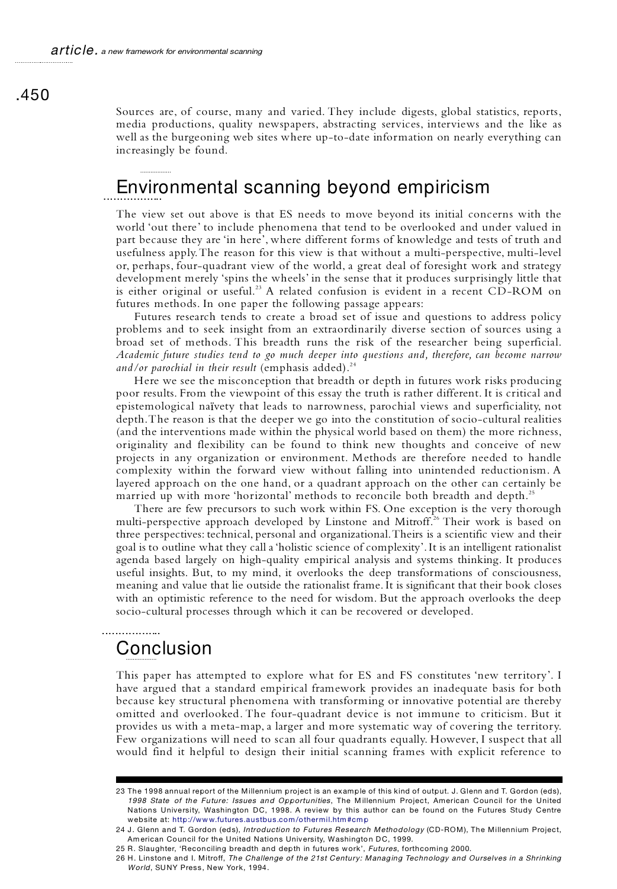..................

## .450

................................

Sources are, of course, many and varied. They include digests, global statistics, reports, media productions, quality newspapers, abstracting services, interviews and the like as well as the burgeoning web sites where up-to-date information on nearly everything can increasingly be found.

# Environmental scanning beyond empiricism ..................

The view set out above is that ES needs to move beyond its initial concerns with the world 'out there' to include phenomena that tend to be overlooked and under valued in part because they are `in here', where different forms of knowledge and tests of truth and usefulness apply.The reason for this view is that without a multi-perspective, multi-level or, perhaps, four-quadrant view of the world, a great deal of foresight work and strategy development merely `spins the wheels' in the sense that it produces surprisingly little that is either original or useful. <sup>23</sup> A related confusion is evident in a recent CD-ROM on futures methods. In one paper the following passage appears:

Futures research tends to create a broad set of issue and questions to address policy problems and to seek insight from an extraordinarily diverse section of sources using a broad set of methods. This breadth runs the risk of the researcher being superficial. *Academic future studies tend to go much deeper into questions and, therefore, can become narrow and/or parochial in their result* (emphasis added). 24

Here we see the misconception that breadth or depth in futures work risks producing poor results. From the viewpoint of this essay the truth is rather different. It is critical and epistemological naïvety that leads to narrowness, parochial views and superficiality, not depth.The reason is that the deeper we go into the constitution of socio-cultural realities (and the interventions made within the physical world based on them) the more richness, originality and flexibility can be found to think new thoughts and conceive of new projects in any organization or environment. Methods are therefore needed to handle complexity within the forward view without falling into unintended reductionism. A layered approach on the one hand, or a quadrant approach on the other can certainly be married up with more `horizontal' methods to reconcile both breadth and depth. 25

There are few precursors to such work within FS. One exception is the very thorough multi-perspective approach developed by Linstone and Mitroff. <sup>26</sup> Their work is based on three perspectives: technical, personal and organizational.Theirs is a scientific view and their goal is to outline what they call a `holistic science of complexity'.It is an intelligent rationalist agenda based largely on high-quality empirical analysis and systems thinking. It produces useful insights. But, to my mind, it overlooks the deep transformations of consciousness, meaning and value that lie outside the rationalist frame.It is significant that their book closes with an optimistic reference to the need for wisdom. But the approach overlooks the deep socio-cultural processes through which it can be recovered or developed.

## Conclusion ..................

..................

This paper has attempted to explore what for ES and FS constitutes `new territory'. I have argued that a standard empirical framework provides an inadequate basis for both because key structural phenomena with transforming or innovative potential are thereby omitted and overlooked. The four-quadrant device is not immune to criticism. But it provides us with a meta-map, a larger and more systematic way of covering the territory. Few organizations will need to scan all four quadrants equally. However, I suspect that all would find it helpful to design their initial scanning frames with explicit reference to

25 R. Slaughter, `Reconciling breadth and depth in futures work', *Futures*, forthcoming 2000.

<sup>23</sup> The 1998 annual report of the Millennium project is an example of this kind of output. J. Glenn and T. Gordon (eds), *1998 State of the Future: Issues and Opportunities*, The M illennium Project, American Council for the United Nations University, Washington DC, 1998. A review by this author can be found on the Futures Study Centre website at: http://ww [w.futures.austbus.com](http://www.futures.austbus.com/othermil.htm%23cmp) /othermil.htm #cm p

<sup>24</sup> J. Glenn and T. Gordon (eds), *Introduction to Futures Research Methodology* (CD-ROM), The Millennium Project, American Council for the United Nations University, Washington DC, 1999.

<sup>26</sup> H. Linstone and I. Mitroff, *The Challenge of the 21st Century: Managing Technology and Ourselves in a Shrinking World*, SUNY Press, New York, 1994.